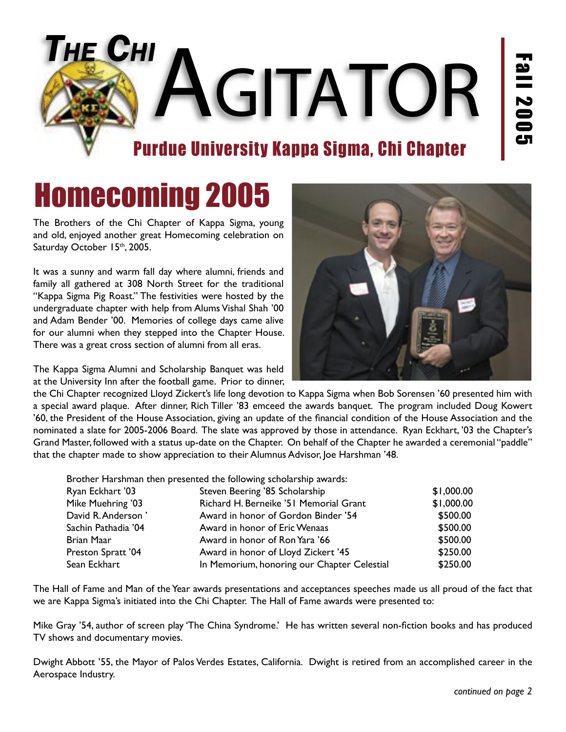# Fa l l 2 0 0 5

### Purdue University Kappa Sigma, Chi Chapter

**THE CHI<br>ASA AGITATOR** 

## Homecoming 2005

The Brothers of the Chi Chapter of Kappa Sigma, young and old, enjoyed another great Homecoming celebration on Saturday October 15th, 2005.

It was a sunny and warm fall day where alumni, friends and family all gathered at 308 North Street for the traditional "Kappa Sigma Pig Roast." The festivities were hosted by the undergraduate chapter with help from Alums Vishal Shah '00 and Adam Bender '00. Memories of college days came alive for our alumni when they stepped into the Chapter House. There was a great cross section of alumni from all eras.

The Kappa Sigma Alumni and Scholarship Banquet was held at the University Inn after the football game. Prior to dinner,

the Chi Chapter recognized Lloyd Zickert's life long devotion to Kappa Sigma when Bob Sorensen '60 presented him with a special award plaque. After dinner, Rich Tiller '83 emceed the awards banquet. The program included Doug Kowert '60, the President of the House Association, giving an update of the financial condition of the House Association and the nominated a slate for 2005-2006 Board. The slate was approved by those in attendance. Ryan Eckhart, '03 the Chapter's Grand Master, followed with a status up-date on the Chapter. On behalf of the Chapter he awarded a ceremonial "paddle" that the chapter made to show appreciation to their Alumnus Advisor, Joe Harshman '48.

Brother Harshman then presented the following scholarship awards:

| Ryan Eckhart '03    | Steven Beering '85 Scholarship              | \$1,000.00 |
|---------------------|---------------------------------------------|------------|
| Mike Muehring '03   | Richard H. Berneike '51 Memorial Grant      | \$1,000.00 |
| David R. Anderson'  | Award in honor of Gordon Binder '54         | \$500.00   |
| Sachin Pathadia '04 | Award in honor of Eric Wenaas               | \$500.00   |
| Brian Maar          | Award in honor of Ron Yara '66              | \$500.00   |
| Preston Spratt '04  | Award in honor of Lloyd Zickert '45         | \$250.00   |
| Sean Eckhart        | In Memorium, honoring our Chapter Celestial | \$250.00   |
|                     |                                             |            |

The Hall of Fame and Man of the Year awards presentations and acceptances speeches made us all proud of the fact that we are Kappa Sigma's initiated into the Chi Chapter. The Hall of Fame awards were presented to:

Mike Gray '54, author of screen play 'The China Syndrome.' He has written several non-fiction books and has produced TV shows and documentary movies.

Dwight Abbott '55, the Mayor of Palos Verdes Estates, California. Dwight is retired from an accomplished career in the Aerospace Industry.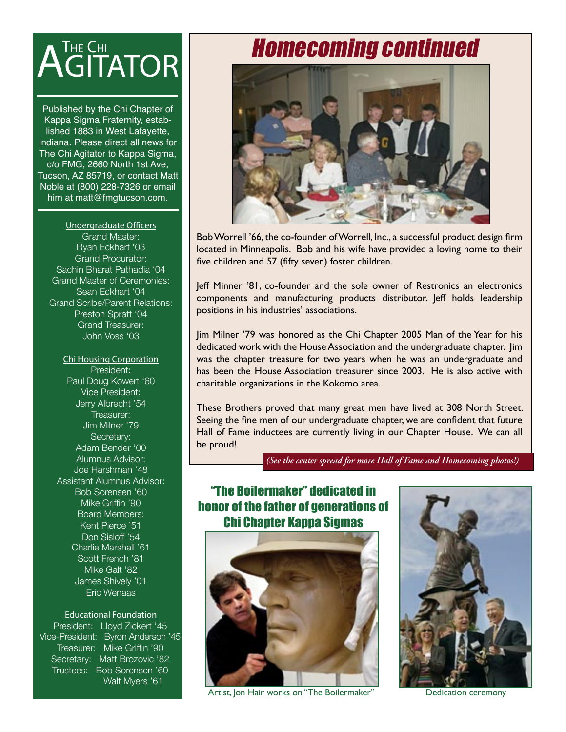# A<sup>THE CHI</sup>ATOR

Published by the Chi Chapter of Kappa Sigma Fraternity, established 1883 in West Lafayette, Indiana. Please direct all news for The Chi Agitator to Kappa Sigma, c/o FMG, 2660 North 1st Ave, Tucson, AZ 85719, or contact Matt Noble at (800) 228-7326 or email him at matt@fmgtucson.com.

#### Undergraduate Officers Grand Master: Ryan Eckhart '03 Grand Procurator: Sachin Bharat Pathadia '04 Grand Master of Ceremonies: Sean Eckhart '04 Grand Scribe/Parent Relations: Preston Spratt '04 Grand Treasurer: John Voss '03

#### Chi Housing Corporation

President: Paul Doug Kowert '60 Vice President: Jerry Albrecht '54 Treasurer: Jim Milner '79 Secretary: Adam Bender '00 Alumnus Advisor: Joe Harshman '48 Assistant Alumnus Advisor: Bob Sorensen '60 Mike Griffin '90 Board Members: Kent Pierce '51 Don Sisloff '54 Charlie Marshall '61 Scott French '81 Mike Galt '82 James Shively '01 Eric Wenaas

#### Educational Foundation

President: Lloyd Zickert '45 Vice-President: Byron Anderson '45 Treasurer: Mike Griffin '90 Secretary: Matt Brozovic '82 Trustees: Bob Sorensen '60 Walt Myers '61

## Homecoming continued



Bob Worrell '66, the co-founder of Worrell, Inc., a successful product design firm located in Minneapolis. Bob and his wife have provided a loving home to their five children and 57 (fifty seven) foster children.

Jeff Minner '81, co-founder and the sole owner of Restronics an electronics components and manufacturing products distributor. Jeff holds leadership positions in his industries' associations.

Jim Milner '79 was honored as the Chi Chapter 2005 Man of the Year for his dedicated work with the House Association and the undergraduate chapter. Jim was the chapter treasure for two years when he was an undergraduate and has been the House Association treasurer since 2003. He is also active with charitable organizations in the Kokomo area.

These Brothers proved that many great men have lived at 308 North Street. Seeing the fine men of our undergraduate chapter, we are confident that future Hall of Fame inductees are currently living in our Chapter House. We can all be proud!

*(See the center spread for more Hall of Fame and Homecoming photos!)*

#### "The Boilermaker" dedicated in honor of the father of generations of Chi Chapter Kappa Sigmas



Artist, Jon Hair works on "The Boilermaker" Dedication ceremony

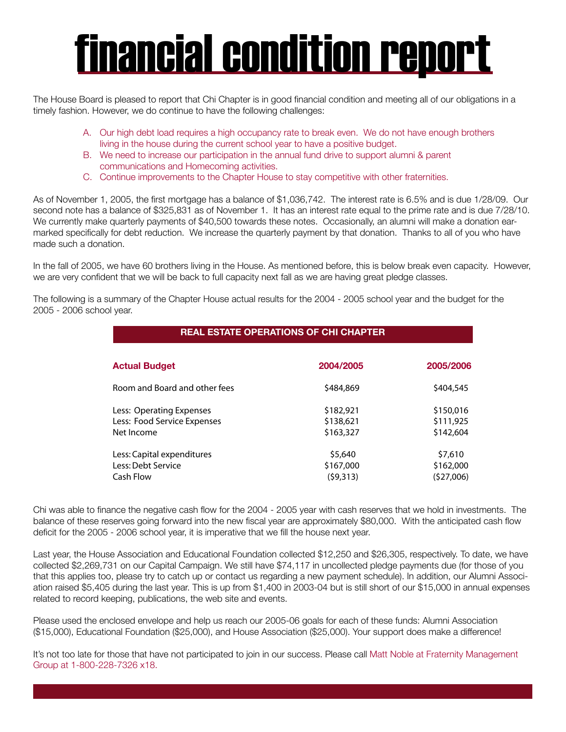# financial condition report

The House Board is pleased to report that Chi Chapter is in good financial condition and meeting all of our obligations in a timely fashion. However, we do continue to have the following challenges:

- A. Our high debt load requires a high occupancy rate to break even. We do not have enough brothers living in the house during the current school year to have a positive budget.
- B. We need to increase our participation in the annual fund drive to support alumni & parent communications and Homecoming activities.
- C. Continue improvements to the Chapter House to stay competitive with other fraternities.

As of November 1, 2005, the first mortgage has a balance of \$1,036,742. The interest rate is 6.5% and is due 1/28/09. Our second note has a balance of \$325,831 as of November 1. It has an interest rate equal to the prime rate and is due 7/28/10. We currently make quarterly payments of \$40,500 towards these notes. Occasionally, an alumni will make a donation earmarked specifically for debt reduction. We increase the quarterly payment by that donation. Thanks to all of you who have made such a donation.

In the fall of 2005, we have 60 brothers living in the House. As mentioned before, this is below break even capacity. However, we are very confident that we will be back to full capacity next fall as we are having great pledge classes.

**REAL ESTATE OPERATIONS OF CHI CHAPTER**

The following is a summary of the Chapter House actual results for the 2004 - 2005 school year and the budget for the 2005 - 2006 school year.

| REAL ESTATE OPERATIONS OF CHI CHAPTER. |           |            |
|----------------------------------------|-----------|------------|
| <b>Actual Budget</b>                   | 2004/2005 | 2005/2006  |
| Room and Board and other fees          | \$484,869 | \$404,545  |
| Less: Operating Expenses               | \$182,921 | \$150,016  |
| Less: Food Service Expenses            | \$138,621 | \$111,925  |
| Net Income                             | \$163,327 | \$142,604  |
| Less: Capital expenditures             | \$5,640   | \$7,610    |
| Less: Debt Service                     | \$167,000 | \$162,000  |
| Cash Flow                              | (59,313)  | (\$27,006) |

Chi was able to finance the negative cash flow for the 2004 - 2005 year with cash reserves that we hold in investments. The balance of these reserves going forward into the new fiscal year are approximately \$80,000. With the anticipated cash flow deficit for the 2005 - 2006 school year, it is imperative that we fill the house next year.

Last year, the House Association and Educational Foundation collected \$12,250 and \$26,305, respectively. To date, we have collected \$2,269,731 on our Capital Campaign. We still have \$74,117 in uncollected pledge payments due (for those of you that this applies too, please try to catch up or contact us regarding a new payment schedule). In addition, our Alumni Association raised \$5,405 during the last year. This is up from \$1,400 in 2003-04 but is still short of our \$15,000 in annual expenses related to record keeping, publications, the web site and events.

Please used the enclosed envelope and help us reach our 2005-06 goals for each of these funds: Alumni Association (\$15,000), Educational Foundation (\$25,000), and House Association (\$25,000). Your support does make a difference!

It's not too late for those that have not participated to join in our success. Please call Matt Noble at Fraternity Management Group at 1-800-228-7326 x18.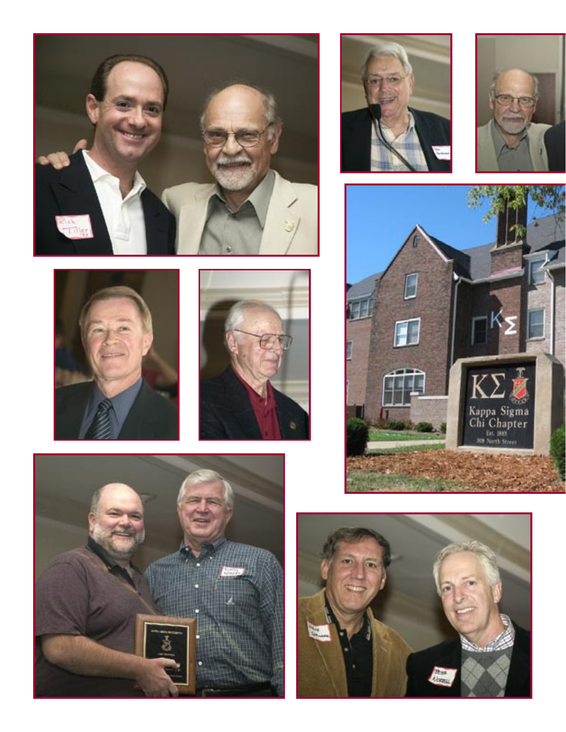













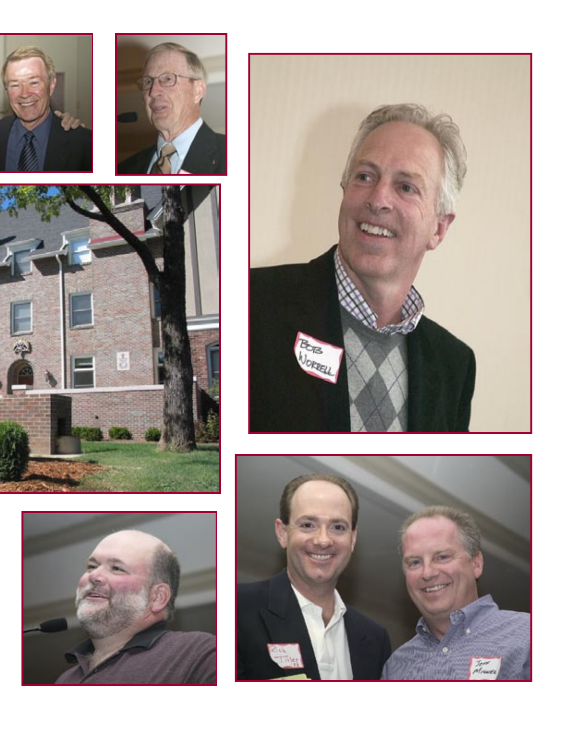









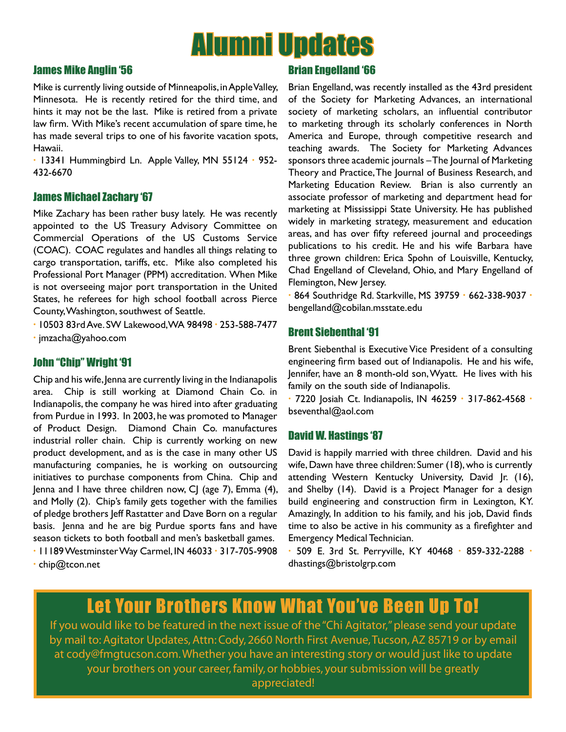## Alumni Updates

#### James Mike Anglin '56

Mike is currently living outside of Minneapolis, in Apple Valley, Minnesota. He is recently retired for the third time, and hints it may not be the last. Mike is retired from a private law firm. With Mike's recent accumulation of spare time, he has made several trips to one of his favorite vacation spots, Hawaii.

**∙** 13341 Hummingbird Ln. Apple Valley, MN 55124 **∙** 952- 432-6670

#### James Michael Zachary '67

Mike Zachary has been rather busy lately. He was recently appointed to the US Treasury Advisory Committee on Commercial Operations of the US Customs Service (COAC). COAC regulates and handles all things relating to cargo transportation, tariffs, etc. Mike also completed his Professional Port Manager (PPM) accreditation. When Mike is not overseeing major port transportation in the United States, he referees for high school football across Pierce County, Washington, southwest of Seattle.

**·** 10503 83rd Ave. SW Lakewood, WA 98498 **·** 253-588-7477 **·** jmzacha@yahoo.com

#### John "Chip" Wright '91

Chip and his wife, Jenna are currently living in the Indianapolis area. Chip is still working at Diamond Chain Co. in Indianapolis, the company he was hired into after graduating from Purdue in 1993. In 2003, he was promoted to Manager of Product Design. Diamond Chain Co. manufactures industrial roller chain. Chip is currently working on new product development, and as is the case in many other US manufacturing companies, he is working on outsourcing initiatives to purchase components from China. Chip and Jenna and I have three children now, CJ (age 7), Emma (4), and Molly (2). Chip's family gets together with the families of pledge brothers Jeff Rastatter and Dave Born on a regular basis. Jenna and he are big Purdue sports fans and have season tickets to both football and men's basketball games.

**·** 11189 Westminster Way Carmel, IN 46033 **·** 317-705-9908 **·** chip@tcon.net

#### Brian Engelland '66

Brian Engelland, was recently installed as the 43rd president of the Society for Marketing Advances, an international society of marketing scholars, an influential contributor to marketing through its scholarly conferences in North America and Europe, through competitive research and teaching awards. The Society for Marketing Advances sponsors three academic journals – The Journal of Marketing Theory and Practice, The Journal of Business Research, and Marketing Education Review. Brian is also currently an associate professor of marketing and department head for marketing at Mississippi State University. He has published widely in marketing strategy, measurement and education areas, and has over fifty refereed journal and proceedings publications to his credit. He and his wife Barbara have three grown children: Erica Spohn of Louisville, Kentucky, Chad Engelland of Cleveland, Ohio, and Mary Engelland of Flemington, New Jersey.

**·** 864 Southridge Rd. Starkville, MS 39759 **·** 662-338-9037 **·**  bengelland@cobilan.msstate.edu

#### Brent Siebenthal '91

Brent Siebenthal is Executive Vice President of a consulting engineering firm based out of Indianapolis. He and his wife, Jennifer, have an 8 month-old son, Wyatt. He lives with his family on the south side of Indianapolis.

**·** 7220 Josiah Ct. Indianapolis, IN 46259 **·** 317-862-4568 **·**  bseventhal@aol.com

#### David W. Hastings '87

David is happily married with three children. David and his wife, Dawn have three children: Sumer (18), who is currently attending Western Kentucky University, David Jr. (16), and Shelby (14). David is a Project Manager for a design build engineering and construction firm in Lexington, KY. Amazingly, In addition to his family, and his job, David finds time to also be active in his community as a firefighter and Emergency Medical Technician.

**·** 509 E. 3rd St. Perryville, KY 40468 **·** 859-332-2288 **·**  dhastings@bristolgrp.com

### Let Your Brothers Know What You've Been Up To!

If you would like to be featured in the next issue of the "Chi Agitator," please send your update by mail to: Agitator Updates, Attn: Cody, 2660 North First Avenue, Tucson, AZ 85719 or by email at cody@fmgtucson.com. Whether you have an interesting story or would just like to update your brothers on your career, family, or hobbies, your submission will be greatly appreciated!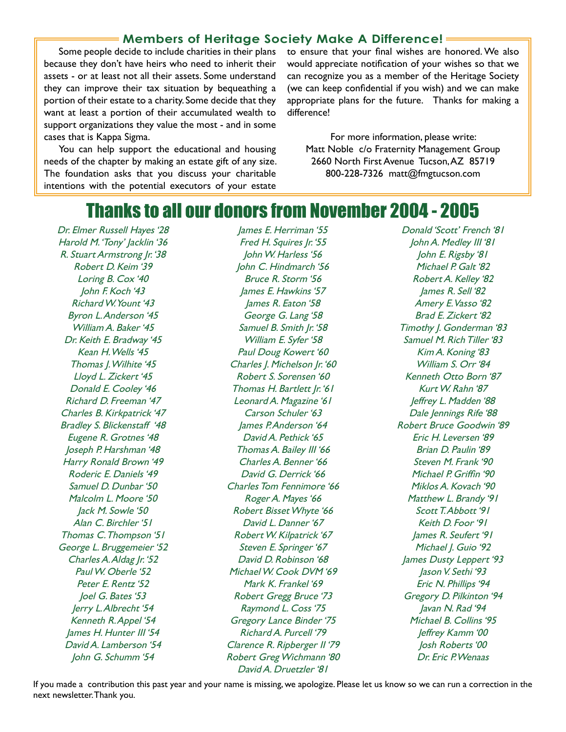#### **Members of Heritage Society Make A Difference!**

 Some people decide to include charities in their plans because they don't have heirs who need to inherit their assets - or at least not all their assets. Some understand they can improve their tax situation by bequeathing a portion of their estate to a charity. Some decide that they want at least a portion of their accumulated wealth to support organizations they value the most - and in some cases that is Kappa Sigma.

 You can help support the educational and housing needs of the chapter by making an estate gift of any size. The foundation asks that you discuss your charitable intentions with the potential executors of your estate

to ensure that your final wishes are honored. We also would appreciate notification of your wishes so that we can recognize you as a member of the Heritage Society (we can keep confidential if you wish) and we can make appropriate plans for the future. Thanks for making a difference!

For more information, please write: Matt Noble c/o Fraternity Management Group 2660 North First Avenue Tucson, AZ 85719 800-228-7326 matt@fmgtucson.com

Thanks to all our donors from November 2004 - 2005

Dr. Elmer Russell Hayes '28 Harold M. 'Tony' Jacklin '36 R. Stuart Armstrong Jr. '38 Robert D. Keim '39 Loring B. Cox '40 John F. Koch '43 Richard W. Yount '43 Byron L. Anderson '45 William A. Baker '45 Dr. Keith E. Bradway '45 Kean H. Wells '45 Thomas J. Wilhite '45 Lloyd L. Zickert '45 Donald E. Cooley '46 Richard D. Freeman '47 Charles B. Kirkpatrick '47 Bradley S. Blickenstaff '48 Eugene R. Grotnes '48 Joseph P. Harshman '48 Harry Ronald Brown '49 Roderic E. Daniels '49 Samuel D. Dunbar '50 Malcolm L. Moore '50 Jack M. Sowle '50 Alan C. Birchler '51 Thomas C. Thompson '51 George L. Bruggemeier '52 Charles A. Aldag Jr. '52 Paul W. Oberle '52 Peter E. Rentz '52 Joel G. Bates '53 Jerry L. Albrecht '54 Kenneth R. Appel '54 James H. Hunter III '54 David A. Lamberson '54 John G. Schumm '54

James E. Herriman '55 Fred H. Squires Jr. '55 John W. Harless '56 John C. Hindmarch '56 Bruce R. Storm '56 James E. Hawkins '57 James R. Eaton '58 George G. Lang '58 Samuel B. Smith Jr. '58 William E. Syfer '58 Paul Doug Kowert '60 Charles J. Michelson Jr. '60 Robert S. Sorensen '60 Thomas H. Bartlett Jr. '61 Leonard A. Magazine '61 Carson Schuler '63 James P. Anderson '64 David A. Pethick '65 Thomas A. Bailey III '66 Charles A. Benner '66 David G. Derrick '66 Charles Tom Fennimore '66 Roger A. Mayes '66 Robert Bisset Whyte '66 David L. Danner '67 Robert W. Kilpatrick '67 Steven E. Springer '67 David D. Robinson '68 Michael W. Cook DVM '69 Mark K. Frankel '69 Robert Gregg Bruce '73 Raymond L. Coss '75 Gregory Lance Binder '75 Richard A. Purcell '79 Clarence R. Ripberger II '79 Robert Greg Wichmann '80 David A. Druetzler '81

Donald 'Scott' French '81 John A. Medley III '81 John E. Rigsby '81 Michael P. Galt '82 Robert A. Kelley '82 James R. Sell '82 Amery E. Vasso '82 Brad E. Zickert '82 Timothy J. Gonderman '83 Samuel M. Rich Tiller '83 Kim A. Koning '83 William S. Orr '84 Kenneth Otto Born '87 Kurt W. Rahn '87 Jeffrey L. Madden '88 Dale Jennings Rife '88 Robert Bruce Goodwin '89 Eric H. Leversen '89 Brian D. Paulin '89 Steven M. Frank '90 Michael P. Griffin '90 Miklos A. Kovach '90 Matthew L. Brandy '91 Scott T. Abbott '91 Keith D. Foor '91 James R. Seufert '91 Michael J. Guio '92 James Dusty Leppert '93 Jason V. Sethi '93 Eric N. Phillips '94 Gregory D. Pilkinton '94 Javan N. Rad '94 Michael B. Collins '95 Jeffrey Kamm '00 Josh Roberts '00 Dr. Eric P. Wenaas

If you made a contribution this past year and your name is missing, we apologize. Please let us know so we can run a correction in the next newsletter. Thank you.